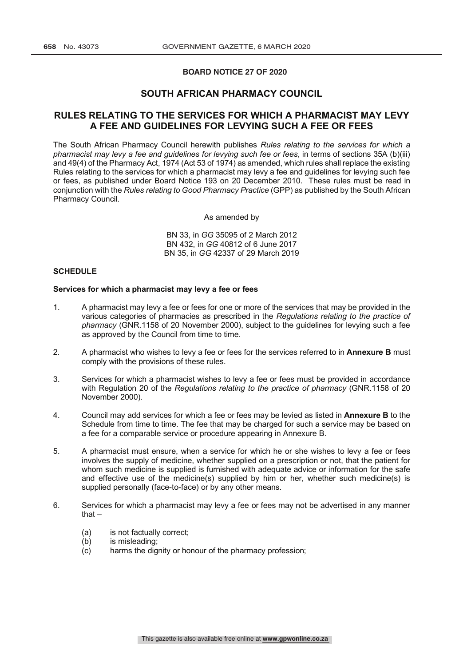## **BOARD NOTICE 27 OF 2020**

# **SOUTH AFRICAN PHARMACY COUNCIL**

# **RULES RELATING TO THE SERVICES FOR WHICH A PHARMACIST MAY LEVY A FEE AND GUIDELINES FOR LEVYING SUCH A FEE OR FEES**

The South African Pharmacy Council herewith publishes *Rules relating to the services for which a pharmacist may levy a fee and guidelines for levying such fee or fees*, in terms of sections 35A (b)(iii) and 49(4) of the Pharmacy Act, 1974 (Act 53 of 1974) as amended, which rules shall replace the existing Rules relating to the services for which a pharmacist may levy a fee and guidelines for levying such fee or fees, as published under Board Notice 193 on 20 December 2010. These rules must be read in conjunction with the *Rules relating to Good Pharmacy Practice* (GPP) as published by the South African Pharmacy Council.

As amended by

BN 33, in *GG* 35095 of 2 March 2012 BN 432, in *GG* 40812 of 6 June 2017 BN 35, in *GG* 42337 of 29 March 2019

## **SCHEDULE**

## **Services for which a pharmacist may levy a fee or fees**

- 1. A pharmacist may levy a fee or fees for one or more of the services that may be provided in the various categories of pharmacies as prescribed in the *Regulations relating to the practice of pharmacy* (GNR.1158 of 20 November 2000), subject to the guidelines for levying such a fee as approved by the Council from time to time.
- 2. A pharmacist who wishes to levy a fee or fees for the services referred to in **Annexure B** must comply with the provisions of these rules.
- 3. Services for which a pharmacist wishes to levy a fee or fees must be provided in accordance with Regulation 20 of the *Regulations relating to the practice of pharmacy* (GNR.1158 of 20 November 2000).
- 4. Council may add services for which a fee or fees may be levied as listed in **Annexure B** to the Schedule from time to time. The fee that may be charged for such a service may be based on a fee for a comparable service or procedure appearing in Annexure B.
- 5. A pharmacist must ensure, when a service for which he or she wishes to levy a fee or fees involves the supply of medicine, whether supplied on a prescription or not, that the patient for whom such medicine is supplied is furnished with adequate advice or information for the safe and effective use of the medicine(s) supplied by him or her, whether such medicine(s) is supplied personally (face-to-face) or by any other means.
- 6. Services for which a pharmacist may levy a fee or fees may not be advertised in any manner that –
	- (a) is not factually correct;
	- (b) is misleading;
	- (c) harms the dignity or honour of the pharmacy profession;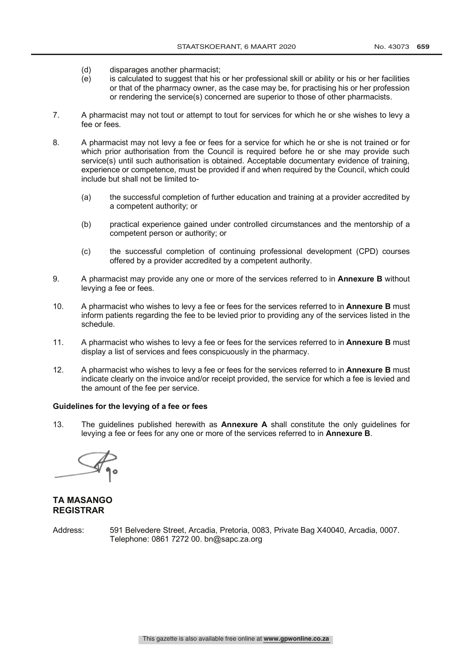- (d) disparages another pharmacist;
- (e) is calculated to suggest that his or her professional skill or ability or his or her facilities or that of the pharmacy owner, as the case may be, for practising his or her profession or rendering the service(s) concerned are superior to those of other pharmacists.
- 7. A pharmacist may not tout or attempt to tout for services for which he or she wishes to levy a fee or fees.
- 8. A pharmacist may not levy a fee or fees for a service for which he or she is not trained or for which prior authorisation from the Council is required before he or she may provide such service(s) until such authorisation is obtained. Acceptable documentary evidence of training, experience or competence, must be provided if and when required by the Council, which could include but shall not be limited to-
	- (a) the successful completion of further education and training at a provider accredited by a competent authority; or
	- (b) practical experience gained under controlled circumstances and the mentorship of a competent person or authority; or
	- (c) the successful completion of continuing professional development (CPD) courses offered by a provider accredited by a competent authority.
- 9. A pharmacist may provide any one or more of the services referred to in **Annexure B** without levying a fee or fees.
- 10. A pharmacist who wishes to levy a fee or fees for the services referred to in **Annexure B** must inform patients regarding the fee to be levied prior to providing any of the services listed in the schedule.
- 11. A pharmacist who wishes to levy a fee or fees for the services referred to in **Annexure B** must display a list of services and fees conspicuously in the pharmacy.
- 12. A pharmacist who wishes to levy a fee or fees for the services referred to in **Annexure B** must indicate clearly on the invoice and/or receipt provided, the service for which a fee is levied and the amount of the fee per service.

## **Guidelines for the levying of a fee or fees**

13. The guidelines published herewith as **Annexure A** shall constitute the only guidelines for levying a fee or fees for any one or more of the services referred to in **Annexure B**.

# **TA MASANGO REGISTRAR**

Address: 591 Belvedere Street, Arcadia, Pretoria, 0083, Private Bag X40040, Arcadia, 0007. Telephone: 0861 7272 00. bn@sapc.za.org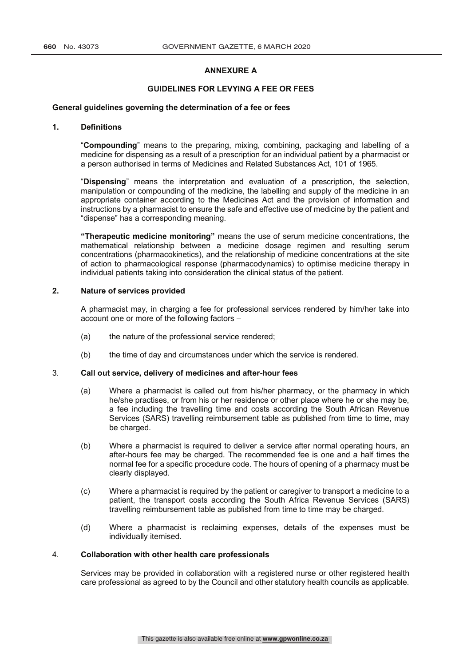## **ANNEXURE A**

## **GUIDELINES FOR LEVYING A FEE OR FEES**

### **General guidelines governing the determination of a fee or fees**

## **1. Definitions**

"**Compounding**" means to the preparing, mixing, combining, packaging and labelling of a medicine for dispensing as a result of a prescription for an individual patient by a pharmacist or a person authorised in terms of Medicines and Related Substances Act, 101 of 1965.

"**Dispensing**" means the interpretation and evaluation of a prescription, the selection, manipulation or compounding of the medicine, the labelling and supply of the medicine in an appropriate container according to the Medicines Act and the provision of information and instructions by a pharmacist to ensure the safe and effective use of medicine by the patient and "dispense" has a corresponding meaning.

**"Therapeutic medicine monitoring"** means the use of serum medicine concentrations, the mathematical relationship between a medicine dosage regimen and resulting serum concentrations (pharmacokinetics), and the relationship of medicine concentrations at the site of action to pharmacological response (pharmacodynamics) to optimise medicine therapy in individual patients taking into consideration the clinical status of the patient.

## **2. Nature of services provided**

A pharmacist may, in charging a fee for professional services rendered by him/her take into account one or more of the following factors –

- (a) the nature of the professional service rendered;
- (b) the time of day and circumstances under which the service is rendered.

## 3. **Call out service, delivery of medicines and after-hour fees**

- (a) Where a pharmacist is called out from his/her pharmacy, or the pharmacy in which he/she practises, or from his or her residence or other place where he or she may be, a fee including the travelling time and costs according the South African Revenue Services (SARS) travelling reimbursement table as published from time to time, may be charged.
- (b) Where a pharmacist is required to deliver a service after normal operating hours, an after-hours fee may be charged. The recommended fee is one and a half times the normal fee for a specific procedure code. The hours of opening of a pharmacy must be clearly displayed.
- (c) Where a pharmacist is required by the patient or caregiver to transport a medicine to a patient, the transport costs according the South Africa Revenue Services (SARS) travelling reimbursement table as published from time to time may be charged.
- (d) Where a pharmacist is reclaiming expenses, details of the expenses must be individually itemised.

#### 4. **Collaboration with other health care professionals**

Services may be provided in collaboration with a registered nurse or other registered health care professional as agreed to by the Council and other statutory health councils as applicable.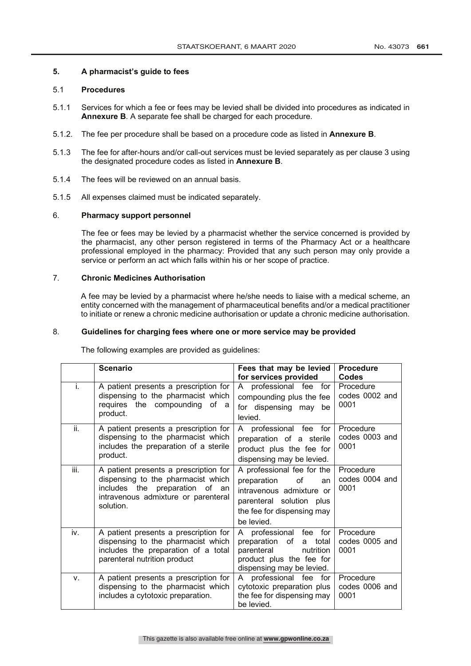## **5. A pharmacist's guide to fees**

## 5.1 **Procedures**

- 5.1.1 Services for which a fee or fees may be levied shall be divided into procedures as indicated in **Annexure B**. A separate fee shall be charged for each procedure.
- 5.1.2. The fee per procedure shall be based on a procedure code as listed in **Annexure B**.
- 5.1.3 The fee for after-hours and/or call-out services must be levied separately as per clause 3 using the designated procedure codes as listed in **Annexure B**.
- 5.1.4 The fees will be reviewed on an annual basis.
- 5.1.5 All expenses claimed must be indicated separately.

## 6. **Pharmacy support personnel**

The fee or fees may be levied by a pharmacist whether the service concerned is provided by the pharmacist, any other person registered in terms of the Pharmacy Act or a healthcare professional employed in the pharmacy: Provided that any such person may only provide a service or perform an act which falls within his or her scope of practice.

## 7. **Chronic Medicines Authorisation**

A fee may be levied by a pharmacist where he/she needs to liaise with a medical scheme, an entity concerned with the management of pharmaceutical benefits and/or a medical practitioner to initiate or renew a chronic medicine authorisation or update a chronic medicine authorisation.

## 8. **Guidelines for charging fees where one or more service may be provided**

The following examples are provided as guidelines:

|      | <b>Scenario</b>                                                                                                                                                      | Fees that may be levied<br>for services provided                                                                                                          | <b>Procedure</b><br>Codes           |
|------|----------------------------------------------------------------------------------------------------------------------------------------------------------------------|-----------------------------------------------------------------------------------------------------------------------------------------------------------|-------------------------------------|
| i.   | A patient presents a prescription for<br>dispensing to the pharmacist which<br>requires the compounding<br>of a<br>product.                                          | A professional fee<br>for<br>compounding plus the fee<br>for dispensing may<br>be<br>levied.                                                              | Procedure<br>codes 0002 and<br>0001 |
| ii.  | A patient presents a prescription for<br>dispensing to the pharmacist which<br>includes the preparation of a sterile<br>product.                                     | A professional fee for<br>preparation of a sterile<br>product plus the fee for<br>dispensing may be levied.                                               | Procedure<br>codes 0003 and<br>0001 |
| iii. | A patient presents a prescription for<br>dispensing to the pharmacist which<br>the preparation of an<br>includes<br>intravenous admixture or parenteral<br>solution. | A professional fee for the<br>preparation<br>of<br>an<br>intravenous admixture or<br>parenteral solution plus<br>the fee for dispensing may<br>be levied. | Procedure<br>codes 0004 and<br>0001 |
| iv.  | A patient presents a prescription for<br>dispensing to the pharmacist which<br>includes the preparation of a total<br>parenteral nutrition product                   | A professional fee for<br>preparation of<br>total<br>a<br>nutrition<br>parenteral<br>product plus the fee for<br>dispensing may be levied.                | Procedure<br>codes 0005 and<br>0001 |
| v.   | A patient presents a prescription for<br>dispensing to the pharmacist which<br>includes a cytotoxic preparation.                                                     | A professional fee<br>for<br>cytotoxic preparation plus<br>the fee for dispensing may<br>be levied.                                                       | Procedure<br>codes 0006 and<br>0001 |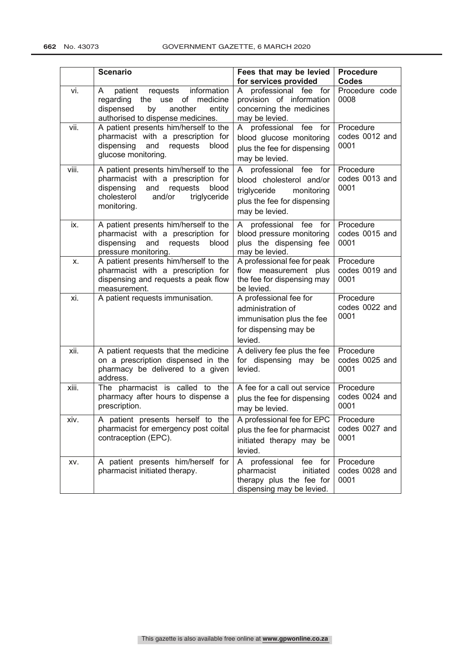|       | <b>Scenario</b>                                                                                                                                                               | Fees that may be levied<br>for services provided                                                                                  | <b>Procedure</b><br><b>Codes</b>    |
|-------|-------------------------------------------------------------------------------------------------------------------------------------------------------------------------------|-----------------------------------------------------------------------------------------------------------------------------------|-------------------------------------|
| vi.   | requests information<br>patient<br>A<br>regarding the use of medicine<br>by<br>another<br>dispensed<br>entity<br>authorised to dispense medicines.                            | professional fee for<br>A<br>provision of information<br>concerning the medicines<br>may be levied.                               | Procedure code<br>0008              |
| vii.  | A patient presents him/herself to the<br>pharmacist with a prescription for<br>dispensing<br>and<br>requests<br>blood<br>glucose monitoring.                                  | A professional fee for<br>blood glucose monitoring<br>plus the fee for dispensing<br>may be levied.                               | Procedure<br>codes 0012 and<br>0001 |
| viii. | A patient presents him/herself to the<br>pharmacist with a prescription for<br>dispensing<br>requests<br>blood<br>and<br>cholesterol<br>and/or<br>triglyceride<br>monitoring. | A professional fee for<br>blood cholesterol and/or<br>triglyceride<br>monitoring<br>plus the fee for dispensing<br>may be levied. | Procedure<br>codes 0013 and<br>0001 |
| ix.   | A patient presents him/herself to the<br>pharmacist with a prescription for<br>and<br>dispensing<br>requests<br>blood<br>pressure monitoring.                                 | professional fee<br>for<br>A<br>blood pressure monitoring<br>plus the dispensing fee<br>may be levied.                            | Procedure<br>codes 0015 and<br>0001 |
| x.    | A patient presents him/herself to the<br>pharmacist with a prescription for<br>dispensing and requests a peak flow<br>measurement.                                            | A professional fee for peak<br>flow measurement plus<br>the fee for dispensing may<br>be levied.                                  | Procedure<br>codes 0019 and<br>0001 |
| xi.   | A patient requests immunisation.                                                                                                                                              | A professional fee for<br>administration of<br>immunisation plus the fee<br>for dispensing may be<br>levied.                      | Procedure<br>codes 0022 and<br>0001 |
| xii.  | A patient requests that the medicine<br>on a prescription dispensed in the<br>pharmacy be delivered to a given<br>address.                                                    | A delivery fee plus the fee<br>for dispensing may be<br>levied.                                                                   | Procedure<br>codes 0025 and<br>0001 |
| xiii. | The pharmacist is called to the<br>pharmacy after hours to dispense a<br>prescription.                                                                                        | A fee for a call out service<br>plus the fee for dispensing<br>may be levied.                                                     | Procedure<br>codes 0024 and<br>0001 |
| xiv.  | A patient presents herself to the<br>pharmacist for emergency post coital<br>contraception (EPC).                                                                             | A professional fee for EPC<br>plus the fee for pharmacist<br>initiated therapy may be<br>levied.                                  | Procedure<br>codes 0027 and<br>0001 |
| XV.   | A patient presents him/herself for<br>pharmacist initiated therapy.                                                                                                           | professional<br>fee for<br>A<br>initiated<br>pharmacist<br>therapy plus the fee for<br>dispensing may be levied.                  | Procedure<br>codes 0028 and<br>0001 |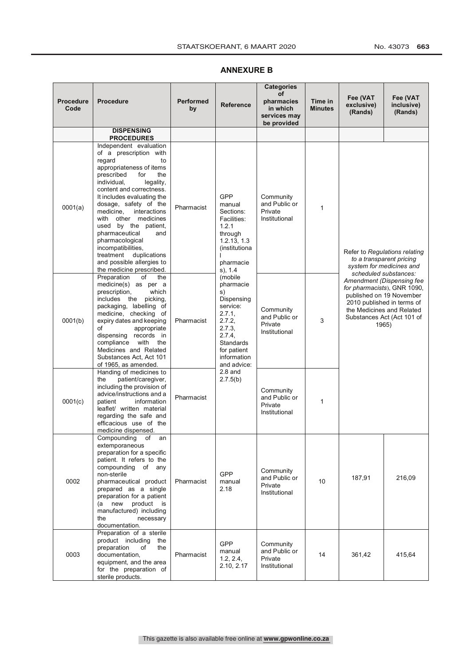#### **Procedure Code Procedure Performed Performed by Reference Categories of pharmacies in which services may be provided Time in Minutes Fee (VAT exclusive) (Rands) Fee (VAT inclusive) (Rands) DISPENSING PROCEDURES** 0001(a) Independent evaluation of a prescription with regard to appropriateness of items<br>prescribed for the prescribed for the<br>individual, legality, individual, content and correctness. It includes evaluating the dosage, safety of the medicine, interactions with other medicines used by the patient, pharmaceutical and pharmacological incompatibilities, treatment duplications and possible allergies to the medicine prescribed. Pharmacist GPP manual Sections: Facilities: 1.2.1 through 1.2.13, 1.3 (institutiona l pharmacie s), 1.4 (mobile pharmacie s) Dispensing service:  $2.7.1,$ 2.7.2, 2.7.3, 2.7.4, **Standards** for patient information and advice: 2.8 and 2.7.5(b) Community and Public or Private Institutional 1 Refer to *Regulations relating to a transparent pricing system for medicines and scheduled substances: Amendment (Dispensing fee for pharmacists*), GNR 1090, published on 19 November 2010 published in terms of the Medicines and Related Substances Act (Act 101 of 0001(b) expiry dates and keeping Pharmacist  $\begin{array}{|c|c|c|c|c|c|c|c|}\n\hline\n2.7.2 & \text{Private} & 3 & \text{Ous} \\
\hline\n2.7.3 & \text{Private} & 3 & \text{Ous} \\
\hline\n\end{array}$ Preparation of the medicine(s) as per a<br>nescription which prescription, includes the picking, packaging, labelling of medicine, checking of of appropriate dispensing records in compliance with the Medicines and Related Substances Act, Act 101 of 1965, as amended. Pharmacist Community and Public or Private Institutional 3 0001(c) Handing of medicines to the patient/caregiver, including the provision of advice/instructions and a information leaflet/ written material regarding the safe and efficacious use of the medicine dispensed. Pharmacist **Community** and Public or Private Institutional 1 0002 Compounding of an extemporaneous preparation for a specific patient. It refers to the compounding of any non-sterile pharmaceutical product prepared as a single preparation for a patient (a new product is manufactured) including the necessary documentation. Pharmacist GPP manual 2.18 **Community** and Public or Private Institutional  $10$  187,91 216,09 0003 Preparation of a sterile product including the<br>preparation of the preparation documentation, equipment, and the area for the preparation of sterile products. Pharmacist GPP manual 1.2, 2.4, 2.10, 2.17 **Community** and Public or Private Institutional 14 361,42 415,64

## **ANNEXURE B**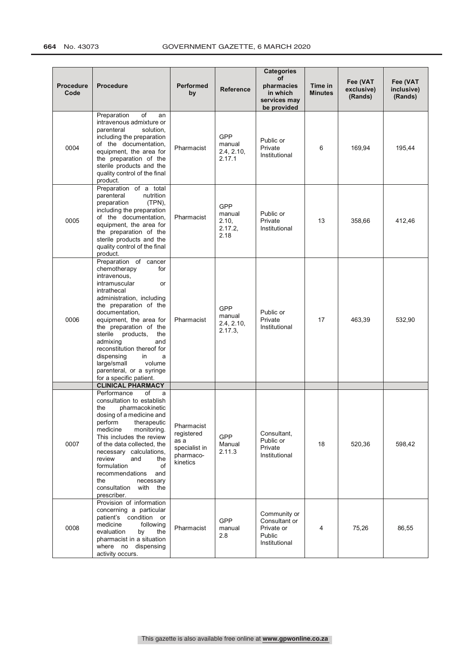| <b>Procedure</b><br>Code | <b>Procedure</b>                                                                                                                                                                                                                                                                                                                                                                                                          | <b>Performed</b><br>by                                                     | <b>Reference</b>                                 | <b>Categories</b><br>of<br>pharmacies<br>in which<br>services may      | Time in<br><b>Minutes</b> | Fee (VAT<br>exclusive)<br>(Rands) | Fee (VAT<br>inclusive)<br>(Rands) |
|--------------------------|---------------------------------------------------------------------------------------------------------------------------------------------------------------------------------------------------------------------------------------------------------------------------------------------------------------------------------------------------------------------------------------------------------------------------|----------------------------------------------------------------------------|--------------------------------------------------|------------------------------------------------------------------------|---------------------------|-----------------------------------|-----------------------------------|
| 0004                     | Preparation<br>of<br>an<br>intravenous admixture or<br>parenteral<br>solution,<br>including the preparation<br>of the documentation,<br>equipment, the area for<br>the preparation of the<br>sterile products and the<br>quality control of the final<br>product.                                                                                                                                                         | Pharmacist                                                                 | <b>GPP</b><br>manual<br>2.4, 2.10,<br>2.17.1     | be provided<br>Public or<br>Private<br>Institutional                   | 6                         | 169,94                            | 195,44                            |
| 0005                     | Preparation of a total<br>parenteral<br>nutrition<br>preparation<br>$(TPN)$ ,<br>including the preparation<br>of the documentation,<br>equipment, the area for<br>the preparation of the<br>sterile products and the<br>quality control of the final<br>product.                                                                                                                                                          | Pharmacist                                                                 | <b>GPP</b><br>manual<br>2.10,<br>2.17.2,<br>2.18 | Public or<br>Private<br>Institutional                                  | 13                        | 358,66                            | 412,46                            |
| 0006                     | Preparation of cancer<br>chemotherapy<br>for<br>intravenous,<br>intramuscular<br>or<br>intrathecal<br>administration, including<br>the preparation of the<br>documentation,<br>equipment, the area for<br>the preparation of the<br>sterile<br>products,<br>the<br>admixing<br>and<br>reconstitution thereof for<br>dispensing<br>in<br>a<br>large/small<br>volume<br>parenteral, or a syringe<br>for a specific patient. | Pharmacist                                                                 | <b>GPP</b><br>manual<br>2.4, 2.10,<br>2.17.3     | Public or<br>Private<br>Institutional                                  | 17                        | 463,39                            | 532,90                            |
|                          | <b>CLINICAL PHARMACY</b><br>Performance<br>of<br>a<br>consultation to establish<br>the<br>pharmacokinetic                                                                                                                                                                                                                                                                                                                 |                                                                            |                                                  |                                                                        |                           |                                   |                                   |
| 0007                     | dosing of a medicine and<br>perform<br>therapeutic<br>medicine<br>monitoring.<br>This includes the review<br>of the data collected, the<br>necessary calculations,<br>review<br>and<br>the<br>formulation<br>of<br>recommendations<br>and<br>the<br>necessary<br>consultation<br>with<br>the<br>prescriber.                                                                                                               | Pharmacist<br>registered<br>as a<br>specialist in<br>pharmaco-<br>kinetics | <b>GPP</b><br>Manual<br>2.11.3                   | Consultant,<br>Public or<br>Private<br>Institutional                   | 18                        | 520,36                            | 598,42                            |
| 0008                     | Provision of information<br>concerning a particular<br>patient's<br>condition<br>or<br>medicine<br>following<br>evaluation<br>by<br>the<br>pharmacist in a situation<br>where no dispensing<br>activity occurs.                                                                                                                                                                                                           | Pharmacist                                                                 | GPP<br>manual<br>2.8                             | Community or<br>Consultant or<br>Private or<br>Public<br>Institutional | 4                         | 75,26                             | 86,55                             |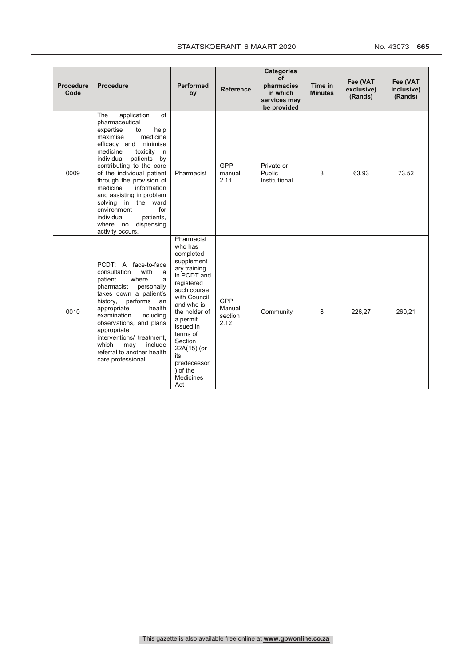## STAATSKOERANT, 6 MAART 2020 No. 43073 665

| <b>Procedure</b><br>Code | <b>Procedure</b>                                                                                                                                                                                                                                                                                                                                                                                                                                 | <b>Performed</b><br>by                                                                                                                                                                                                                                                                  | <b>Reference</b>                 | <b>Categories</b><br>of<br>pharmacies<br>in which<br>services may<br>be provided | Time in<br><b>Minutes</b> | Fee (VAT<br>exclusive)<br>(Rands) | Fee (VAT<br>inclusive)<br>(Rands) |
|--------------------------|--------------------------------------------------------------------------------------------------------------------------------------------------------------------------------------------------------------------------------------------------------------------------------------------------------------------------------------------------------------------------------------------------------------------------------------------------|-----------------------------------------------------------------------------------------------------------------------------------------------------------------------------------------------------------------------------------------------------------------------------------------|----------------------------------|----------------------------------------------------------------------------------|---------------------------|-----------------------------------|-----------------------------------|
| 0009                     | application<br>of<br>The<br>pharmaceutical<br>expertise<br>help<br>to<br>medicine<br>maximise<br>efficacy and minimise<br>medicine<br>toxicity in<br>individual patients<br>by<br>contributing to the care<br>of the individual patient<br>through the provision of<br>medicine<br>information<br>and assisting in problem<br>solving in the ward<br>environment<br>for<br>individual<br>patients.<br>dispensing<br>where no<br>activity occurs. | Pharmacist                                                                                                                                                                                                                                                                              | GPP<br>manual<br>2.11            | Private or<br>Public<br>Institutional                                            | 3                         | 63,93                             | 73,52                             |
| 0010                     | PCDT: A face-to-face<br>with<br>consultation<br>a<br>where<br>patient<br>a<br>pharmacist<br>personally<br>takes down a patient's<br>history,<br>performs<br>an<br>appropriate<br>health<br>examination<br>including<br>observations, and plans<br>appropriate<br>interventions/ treatment,<br>which<br>include<br>may<br>referral to another health<br>care professional.                                                                        | Pharmacist<br>who has<br>completed<br>supplement<br>ary training<br>in PCDT and<br>registered<br>such course<br>with Council<br>and who is<br>the holder of<br>a permit<br>issued in<br>terms of<br>Section<br>22A(15) (or<br>its<br>predecessor<br>) of the<br><b>Medicines</b><br>Act | GPP<br>Manual<br>section<br>2.12 | Community                                                                        | 8                         | 226,27                            | 260,21                            |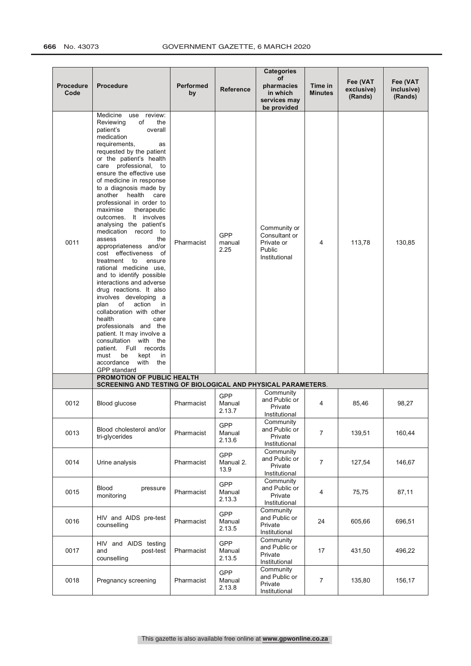## **666** No. 43073 GOVERNMENT GAZETTE, 6 MARCH 2020

| <b>Procedure</b><br>Code | <b>Procedure</b>                                                                                                                                                                                                                                                                                                                                                                                                                                                                                                                                                                                                                                                                                                                                                                                                                                                                                                                                                   | <b>Performed</b><br>by | <b>Reference</b>               | <b>Categories</b><br>of<br>pharmacies<br>in which<br>services may                     | Time in<br><b>Minutes</b> | Fee (VAT<br>exclusive)<br>(Rands) | Fee (VAT<br>inclusive)<br>(Rands) |
|--------------------------|--------------------------------------------------------------------------------------------------------------------------------------------------------------------------------------------------------------------------------------------------------------------------------------------------------------------------------------------------------------------------------------------------------------------------------------------------------------------------------------------------------------------------------------------------------------------------------------------------------------------------------------------------------------------------------------------------------------------------------------------------------------------------------------------------------------------------------------------------------------------------------------------------------------------------------------------------------------------|------------------------|--------------------------------|---------------------------------------------------------------------------------------|---------------------------|-----------------------------------|-----------------------------------|
| 0011                     | Medicine<br>use review:<br>Reviewing<br>of<br>the<br>patient's<br>overall<br>medication<br>requirements,<br>as<br>requested by the patient<br>or the patient's health<br>care professional,<br>to<br>ensure the effective use<br>of medicine in response<br>to a diagnosis made by<br>another<br>health<br>care<br>professional in order to<br>maximise<br>therapeutic<br>outcomes. It involves<br>analysing the patient's<br>medication record to<br>the<br>assess<br>appropriateness and/or<br>cost effectiveness<br>of<br>treatment to<br>ensure<br>rational medicine use,<br>and to identify possible<br>interactions and adverse<br>drug reactions. It also<br>involves developing<br>a a<br>of<br>action<br>plan<br>in.<br>collaboration with other<br>health<br>care<br>professionals and the<br>patient. It may involve a<br>consultation with the<br>Full<br>patient.<br>records<br>must<br>be<br>kept<br>in<br>accordance<br>with<br>the<br>GPP standard | Pharmacist             | GPP<br>manual<br>2.25          | be provided<br>Community or<br>Consultant or<br>Private or<br>Public<br>Institutional | 4                         | 113,78                            | 130,85                            |
|                          | PROMOTION OF PUBLIC HEALTH<br>SCREENING AND TESTING OF BIOLOGICAL AND PHYSICAL PARAMETERS.                                                                                                                                                                                                                                                                                                                                                                                                                                                                                                                                                                                                                                                                                                                                                                                                                                                                         |                        |                                |                                                                                       |                           |                                   |                                   |
| 0012                     | Blood glucose                                                                                                                                                                                                                                                                                                                                                                                                                                                                                                                                                                                                                                                                                                                                                                                                                                                                                                                                                      | Pharmacist             | GPP<br>Manual<br>2.13.7        | Community<br>and Public or<br>Private<br>Institutional                                | 4                         | 85,46                             | 98,27                             |
| 0013                     | Blood cholesterol and/or<br>tri-glycerides                                                                                                                                                                                                                                                                                                                                                                                                                                                                                                                                                                                                                                                                                                                                                                                                                                                                                                                         | Pharmacist             | GPP<br>Manual<br>2.13.6        | Community<br>and Public or<br>Private<br>Institutional                                | $\overline{7}$            | 139,51                            | 160,44                            |
| 0014                     | Urine analysis                                                                                                                                                                                                                                                                                                                                                                                                                                                                                                                                                                                                                                                                                                                                                                                                                                                                                                                                                     | Pharmacist             | GPP<br>Manual 2.<br>13.9       | Community<br>and Public or<br>Private<br>Institutional                                | $\overline{7}$            | 127,54                            | 146,67                            |
| 0015                     | <b>Blood</b><br>pressure<br>monitoring                                                                                                                                                                                                                                                                                                                                                                                                                                                                                                                                                                                                                                                                                                                                                                                                                                                                                                                             | Pharmacist             | <b>GPP</b><br>Manual<br>2.13.3 | Community<br>and Public or<br>Private<br>Institutional                                | $\overline{4}$            | 75,75                             | 87,11                             |
| 0016                     | HIV and AIDS pre-test<br>counselling                                                                                                                                                                                                                                                                                                                                                                                                                                                                                                                                                                                                                                                                                                                                                                                                                                                                                                                               | Pharmacist             | GPP<br>Manual<br>2.13.5        | Community<br>and Public or<br>Private<br>Institutional                                | 24                        | 605,66                            | 696,51                            |
| 0017                     | HIV and AIDS testing<br>post-test<br>and<br>counselling                                                                                                                                                                                                                                                                                                                                                                                                                                                                                                                                                                                                                                                                                                                                                                                                                                                                                                            | Pharmacist             | GPP<br>Manual<br>2.13.5        | Community<br>and Public or<br>Private<br>Institutional                                | 17                        | 431,50                            | 496,22                            |
| 0018                     | Pregnancy screening                                                                                                                                                                                                                                                                                                                                                                                                                                                                                                                                                                                                                                                                                                                                                                                                                                                                                                                                                | Pharmacist             | GPP<br>Manual<br>2.13.8        | Community<br>and Public or<br>Private<br>Institutional                                | $\overline{7}$            | 135,80                            | 156,17                            |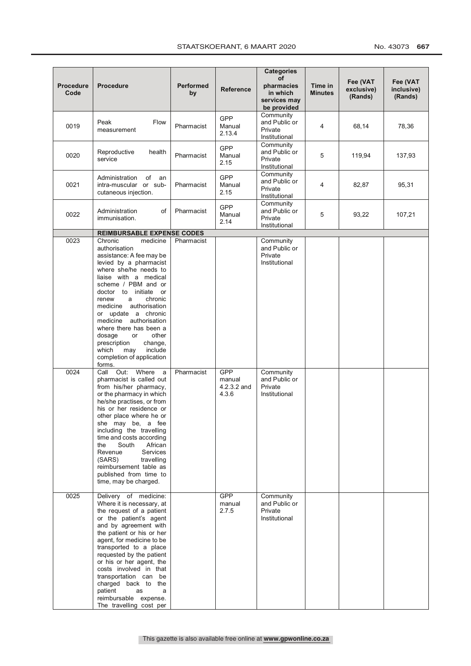|                          |                                                                                                                                                                                                                                                                                                                                                                                                                                                                                   |                          |                                | <b>Categories</b>                                                   |                           |                                   |                                   |
|--------------------------|-----------------------------------------------------------------------------------------------------------------------------------------------------------------------------------------------------------------------------------------------------------------------------------------------------------------------------------------------------------------------------------------------------------------------------------------------------------------------------------|--------------------------|--------------------------------|---------------------------------------------------------------------|---------------------------|-----------------------------------|-----------------------------------|
| <b>Procedure</b><br>Code | <b>Procedure</b>                                                                                                                                                                                                                                                                                                                                                                                                                                                                  | Performed<br>by          | Reference                      | of<br>pharmacies<br>in which<br>services may<br>be provided         | Time in<br><b>Minutes</b> | Fee (VAT<br>exclusive)<br>(Rands) | Fee (VAT<br>inclusive)<br>(Rands) |
| 0019                     | Flow<br>Peak<br>measurement                                                                                                                                                                                                                                                                                                                                                                                                                                                       | Pharmacist               | GPP<br>Manual<br>2.13.4        | Community<br>and Public or<br>Private<br>Institutional              | 4                         | 68,14                             | 78,36                             |
| 0020                     | Reproductive<br>health<br>service                                                                                                                                                                                                                                                                                                                                                                                                                                                 | Pharmacist               | GPP<br>Manual<br>2.15          | Community<br>and Public or<br>Private<br>Institutional              | 5                         | 119,94                            | 137,93                            |
| 0021                     | Administration<br>of an<br>intra-muscular or sub-<br>cutaneous injection.                                                                                                                                                                                                                                                                                                                                                                                                         | Pharmacist               | GPP<br>Manual<br>2.15          | Community<br>and Public or<br>Private<br>Institutional              | 4                         | 82,87                             | 95,31                             |
| 0022                     | Administration<br>of<br>immunisation.                                                                                                                                                                                                                                                                                                                                                                                                                                             | Pharmacist               | <b>GPP</b><br>Manual<br>2.14   | Community<br>and Public or<br>Private<br>Institutional              | 5                         | 93,22                             | 107,21                            |
|                          | <b>REIMBURSABLE EXPENSE CODES</b>                                                                                                                                                                                                                                                                                                                                                                                                                                                 |                          |                                |                                                                     |                           |                                   |                                   |
| 0023<br>0024             | Chronic<br>medicine<br>authorisation<br>assistance: A fee may be<br>levied by a pharmacist<br>where she/he needs to<br>liaise with a medical<br>scheme / PBM and or<br>doctor to initiate or<br>chronic<br>renew<br>a<br>authorisation<br>medicine<br>or update a chronic<br>medicine<br>authorisation<br>where there has been a<br>other<br>dosage<br>or<br>prescription<br>change,<br>include<br>which<br>may<br>completion of application<br>forms.<br>Call Out:<br>Where<br>a | Pharmacist<br>Pharmacist | GPP                            | Community<br>and Public or<br>Private<br>Institutional<br>Community |                           |                                   |                                   |
|                          | pharmacist is called out<br>from his/her pharmacy,<br>or the pharmacy in which<br>he/she practises, or from<br>his or her residence or<br>other place where he or<br>she may be, a fee<br>including the travelling<br>time and costs according<br>African<br>the<br>South<br>Services<br>Revenue<br>(SARS)<br>travelling<br>reimbursement table as<br>published from time to<br>time, may be charged.                                                                             |                          | manual<br>4.2.3.2 and<br>4.3.6 | and Public or<br>Private<br>Institutional                           |                           |                                   |                                   |
| 0025                     | Delivery of medicine:<br>Where it is necessary, at<br>the request of a patient<br>or the patient's agent<br>and by agreement with<br>the patient or his or her<br>agent, for medicine to be<br>transported to a place<br>requested by the patient<br>or his or her agent, the<br>costs involved in that<br>transportation can be<br>charged back to the<br>patient<br>as<br>a<br>reimbursable expense.<br>The travelling cost per                                                 |                          | <b>GPP</b><br>manual<br>2.7.5  | Community<br>and Public or<br>Private<br>Institutional              |                           |                                   |                                   |